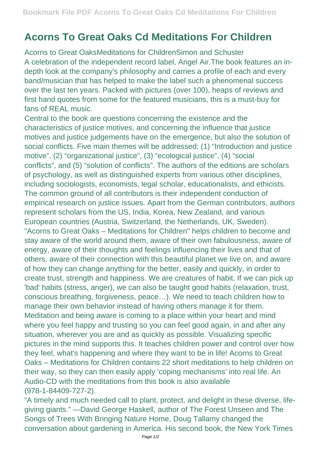## **Acorns To Great Oaks Cd Meditations For Children**

Acorns to Great OaksMeditations for ChildrenSimon and Schuster A celebration of the independent record label, Angel Air.The book features an indepth look at the company's philosophy and carries a profile of each and every band/musician that has helped to make the label such a phenomenal success over the last ten years. Packed with pictures (over 100), heaps of reviews and first hand quotes from some for the featured musicians, this is a must-buy for fans of REAL music.

Central to the book are questions concerning the existence and the characteristics of justice motives, and concerning the influence that justice motives and justice judgements have on the emergence, but also the solution of social conflicts. Five main themes will be addressed: (1) "Introduction and justice motive", (2) "organizational justice", (3) "ecological justice", (4) "social conflicts", and (5) "solution of conflicts". The authors of the editions are scholars of psychology, as well as distinguished experts from various other disciplines, including sociologists, economists, legal scholar, educationalists, and ethicists. The common ground of all contributors is their independent conduction of empirical research on justice issues. Apart from the German contributors, authors represent scholars from the US, India, Korea, New Zealand, and various European countries (Austria, Switzerland, the Netherlands, UK, Sweden). "Acorns to Great Oaks – Meditations for Children" helps children to become and stay aware of the world around them, aware of their own fabulousness, aware of energy, aware of their thoughts and feelings influencing their lives and that of others, aware of their connection with this beautiful planet we live on, and aware of how they can change anything for the better, easily and quickly, in order to create trust, strength and happiness. We are creatures of habit. If we can pick up 'bad' habits (stress, anger), we can also be taught good habits (relaxation, trust, conscious breathing, forgiveness, peace…). We need to teach children how to manage their own behavior instead of having others manage it for them. Meditation and being aware is coming to a place within your heart and mind where you feel happy and trusting so you can feel good again, in and after any situation, wherever you are and as quickly as possible. Visualizing specific pictures in the mind supports this. It teaches children power and control over how they feel, what's happening and where they want to be in life! Acorns to Great Oaks – Meditations for Children contains 22 short meditations to help children on their way, so they can then easily apply 'coping mechanisms' into real life. An Audio-CD with the meditations from this book is also available (978-1-84409-727-2).

"A timely and much needed call to plant, protect, and delight in these diverse, lifegiving giants." —David George Haskell, author of The Forest Unseen and The Songs of Trees With Bringing Nature Home, Doug Tallamy changed the conversation about gardening in America. His second book, the New York Times